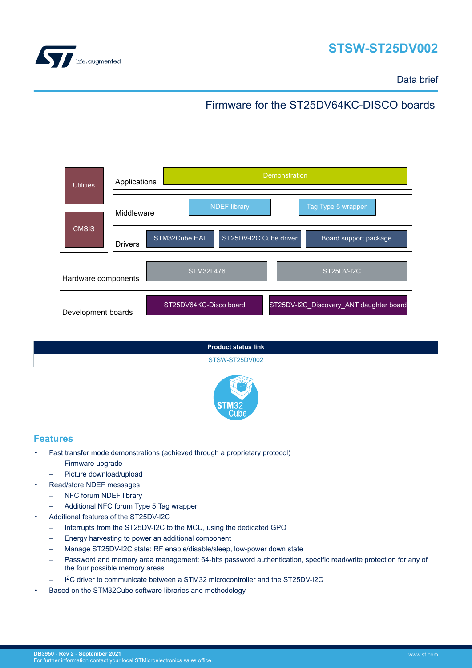



Data brief

## Firmware for the ST25DV64KC-DISCO boards

| <b>Utilities</b>    | <b>Demonstration</b><br>Applications                                               |  |  |
|---------------------|------------------------------------------------------------------------------------|--|--|
|                     | Tag Type 5 wrapper<br><b>NDEF library</b><br>Middleware                            |  |  |
| <b>CMSIS</b>        | STM32Cube HAL<br>ST25DV-I2C Cube driver<br>Board support package<br><b>Drivers</b> |  |  |
| Hardware components | <b>STM32L476</b><br>ST <sub>25</sub> DV-I <sub>2</sub> C                           |  |  |
| Development boards  | ST25DV-I2C_Discovery_ANT daughter board<br>ST25DV64KC-Disco board                  |  |  |





#### **Features**

- Fast transfer mode demonstrations (achieved through a proprietary protocol)
	- Firmware upgrade
	- Picture download/upload
	- Read/store NDEF messages
		- NFC forum NDEF library
		- Additional NFC forum Type 5 Tag wrapper
- Additional features of the ST25DV-I2C
	- Interrupts from the ST25DV-I2C to the MCU, using the dedicated GPO
	- Energy harvesting to power an additional component
	- Manage ST25DV-I2C state: RF enable/disable/sleep, low-power down state
	- Password and memory area management: 64-bits password authentication, specific read/write protection for any of the four possible memory areas
	- I2C driver to communicate between a STM32 microcontroller and the ST25DV-I2C
- Based on the STM32Cube software libraries and methodology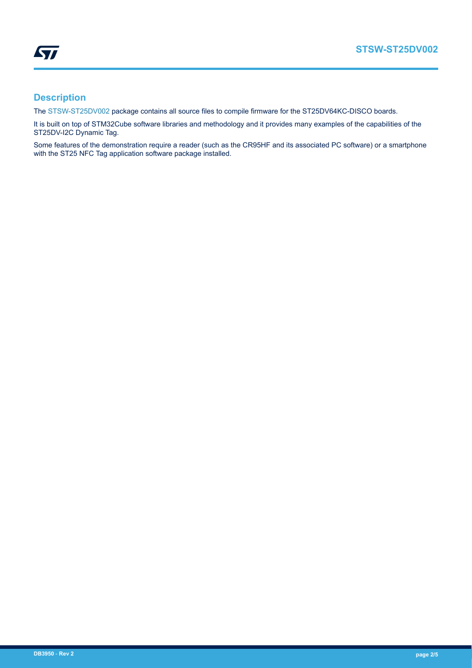

### **Description**

The [STSW-ST25DV002](https://www.st.com/en/product/stsw-st25dv002?ecmp=tt9470_gl_link_feb2019&rt=db&id=DB3950) package contains all source files to compile firmware for the ST25DV64KC-DISCO boards.

It is built on top of STM32Cube software libraries and methodology and it provides many examples of the capabilities of the ST25DV-I2C Dynamic Tag.

Some features of the demonstration require a reader (such as the CR95HF and its associated PC software) or a smartphone with the ST25 NFC Tag application software package installed.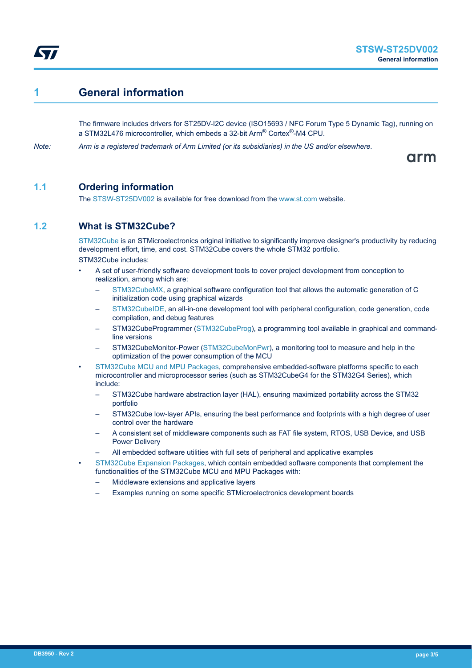

### **1 General information**

The firmware includes drivers for ST25DV-I2C device (ISO15693 / NFC Forum Type 5 Dynamic Tag), running on a STM32L476 microcontroller, which embeds a 32-bit Arm® Cortex®-M4 CPU.

*Note: Arm is a registered trademark of Arm Limited (or its subsidiaries) in the US and/or elsewhere.*

arm

#### **1.1 Ordering information**

The [STSW-ST25DV002](https://www.st.com/en/product/stsw-st25dv002?ecmp=tt9470_gl_link_feb2019&rt=db&id=DB3950) is available for free download from the [www.st.com](https://www.st.com) website.

#### **1.2 What is STM32Cube?**

[STM32Cube](https://www.st.com/stm32cube) is an STMicroelectronics original initiative to significantly improve designer's productivity by reducing development effort, time, and cost. STM32Cube covers the whole STM32 portfolio. STM32Cube includes:

- A set of user-friendly software development tools to cover project development from conception to realization, among which are:
	- [STM32CubeMX,](https://www.st.com/en/product/stm32cubemx?ecmp=tt9470_gl_link_feb2019&rt=db&id=DB3950) a graphical software configuration tool that allows the automatic generation of C initialization code using graphical wizards
	- [STM32CubeIDE](https://www.st.com/en/product/stm32cubeide?ecmp=tt9470_gl_link_feb2019&rt=db&id=DB3950), an all-in-one development tool with peripheral configuration, code generation, code compilation, and debug features
	- STM32CubeProgrammer ([STM32CubeProg](https://www.st.com/en/product/stm32cubeprog?ecmp=tt9470_gl_link_feb2019&rt=db&id=DB3950)), a programming tool available in graphical and commandline versions
	- STM32CubeMonitor-Power [\(STM32CubeMonPwr\)](https://www.st.com/en/product/stm32cubemonpwr?ecmp=tt9470_gl_link_feb2019&rt=db&id=DB3950), a monitoring tool to measure and help in the optimization of the power consumption of the MCU
- [STM32Cube MCU and MPU Packages](https://www.st.com/en/embedded-software/stm32cube-mcu-mpu-packages.html), comprehensive embedded-software platforms specific to each microcontroller and microprocessor series (such as STM32CubeG4 for the STM32G4 Series), which include:
	- STM32Cube hardware abstraction layer (HAL), ensuring maximized portability across the STM32 portfolio
	- STM32Cube low-layer APIs, ensuring the best performance and footprints with a high degree of user control over the hardware
	- A consistent set of middleware components such as FAT file system, RTOS, USB Device, and USB Power Delivery
	- All embedded software utilities with full sets of peripheral and applicative examples
- [STM32Cube Expansion Packages,](https://www.st.com/en/embedded-software/stm32cube-expansion-packages.html) which contain embedded software components that complement the functionalities of the STM32Cube MCU and MPU Packages with:
	- Middleware extensions and applicative layers
	- Examples running on some specific STMicroelectronics development boards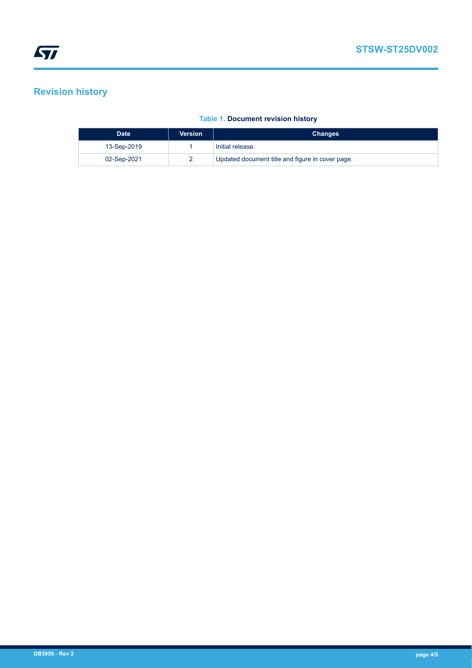# **Revision history**

| <b>Date</b> | Version | <b>Changes</b>                                   |
|-------------|---------|--------------------------------------------------|
| 13-Sep-2019 |         | Initial release.                                 |
| 02-Sep-2021 |         | Updated document title and figure in cover page. |

#### **Table 1. Document revision history**